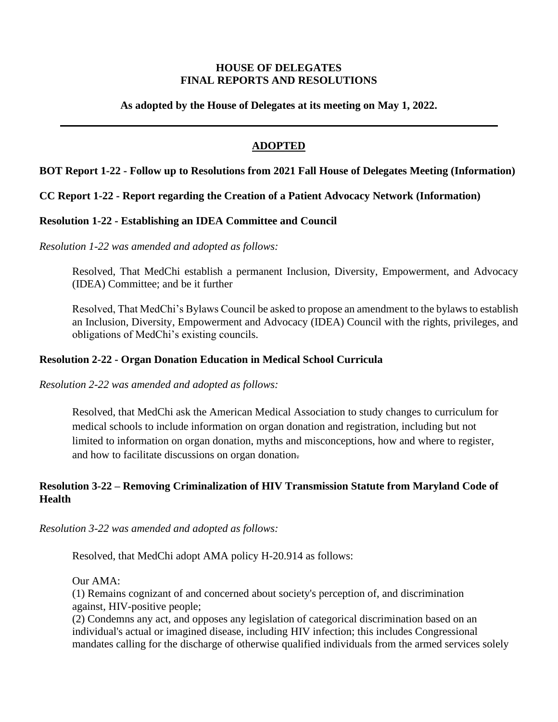### **HOUSE OF DELEGATES FINAL REPORTS AND RESOLUTIONS**

**As adopted by the House of Delegates at its meeting on May 1, 2022.**

# **ADOPTED**

### **BOT Report 1-22 - Follow up to Resolutions from 2021 Fall House of Delegates Meeting (Information)**

### **CC Report 1-22 - Report regarding the Creation of a Patient Advocacy Network (Information)**

### **Resolution 1-22 - Establishing an IDEA Committee and Council**

*Resolution 1-22 was amended and adopted as follows:*

Resolved, That MedChi establish a permanent Inclusion, Diversity, Empowerment, and Advocacy (IDEA) Committee; and be it further

Resolved, That MedChi's Bylaws Council be asked to propose an amendment to the bylaws to establish an Inclusion, Diversity, Empowerment and Advocacy (IDEA) Council with the rights, privileges, and obligations of MedChi's existing councils.

### **Resolution 2-22 - Organ Donation Education in Medical School Curricula**

*Resolution 2-22 was amended and adopted as follows:*

Resolved, that MedChi ask the American Medical Association to study changes to curriculum for medical schools to include information on organ donation and registration, including but not limited to information on organ donation, myths and misconceptions, how and where to register, and how to facilitate discussions on organ donation.

# **Resolution 3-22 – Removing Criminalization of HIV Transmission Statute from Maryland Code of Health**

#### *Resolution 3-22 was amended and adopted as follows:*

Resolved, that MedChi adopt AMA policy H-20.914 as follows:

Our AMA:

(1) Remains cognizant of and concerned about society's perception of, and discrimination against, HIV-positive people;

(2) Condemns any act, and opposes any legislation of categorical discrimination based on an individual's actual or imagined disease, including HIV infection; this includes Congressional mandates calling for the discharge of otherwise qualified individuals from the armed services solely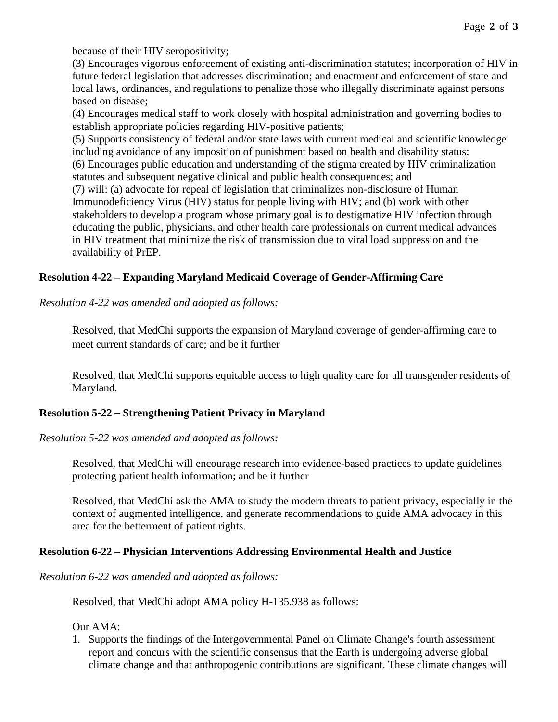because of their HIV seropositivity;

(3) Encourages vigorous enforcement of existing anti-discrimination statutes; incorporation of HIV in future federal legislation that addresses discrimination; and enactment and enforcement of state and local laws, ordinances, and regulations to penalize those who illegally discriminate against persons based on disease;

(4) Encourages medical staff to work closely with hospital administration and governing bodies to establish appropriate policies regarding HIV-positive patients;

(5) Supports consistency of federal and/or state laws with current medical and scientific knowledge including avoidance of any imposition of punishment based on health and disability status; (6) Encourages public education and understanding of the stigma created by HIV criminalization

statutes and subsequent negative clinical and public health consequences; and

(7) will: (a) advocate for repeal of legislation that criminalizes non-disclosure of Human Immunodeficiency Virus (HIV) status for people living with HIV; and (b) work with other stakeholders to develop a program whose primary goal is to destigmatize HIV infection through educating the public, physicians, and other health care professionals on current medical advances in HIV treatment that minimize the risk of transmission due to viral load suppression and the availability of PrEP.

# **Resolution 4-22 – Expanding Maryland Medicaid Coverage of Gender-Affirming Care**

*Resolution 4-22 was amended and adopted as follows:*

Resolved, that MedChi supports the expansion of Maryland coverage of gender-affirming care to meet current standards of care; and be it further

Resolved, that MedChi supports equitable access to high quality care for all transgender residents of Maryland.

# **Resolution 5-22 – Strengthening Patient Privacy in Maryland**

*Resolution 5-22 was amended and adopted as follows:*

Resolved, that MedChi will encourage research into evidence-based practices to update guidelines protecting patient health information; and be it further

Resolved, that MedChi ask the AMA to study the modern threats to patient privacy, especially in the context of augmented intelligence, and generate recommendations to guide AMA advocacy in this area for the betterment of patient rights.

# **Resolution 6-22 – Physician Interventions Addressing Environmental Health and Justice**

*Resolution 6-22 was amended and adopted as follows:*

Resolved, that MedChi adopt AMA policy H-135.938 as follows:

Our AMA:

1. Supports the findings of the Intergovernmental Panel on Climate Change's fourth assessment report and concurs with the scientific consensus that the Earth is undergoing adverse global climate change and that anthropogenic contributions are significant. These climate changes will